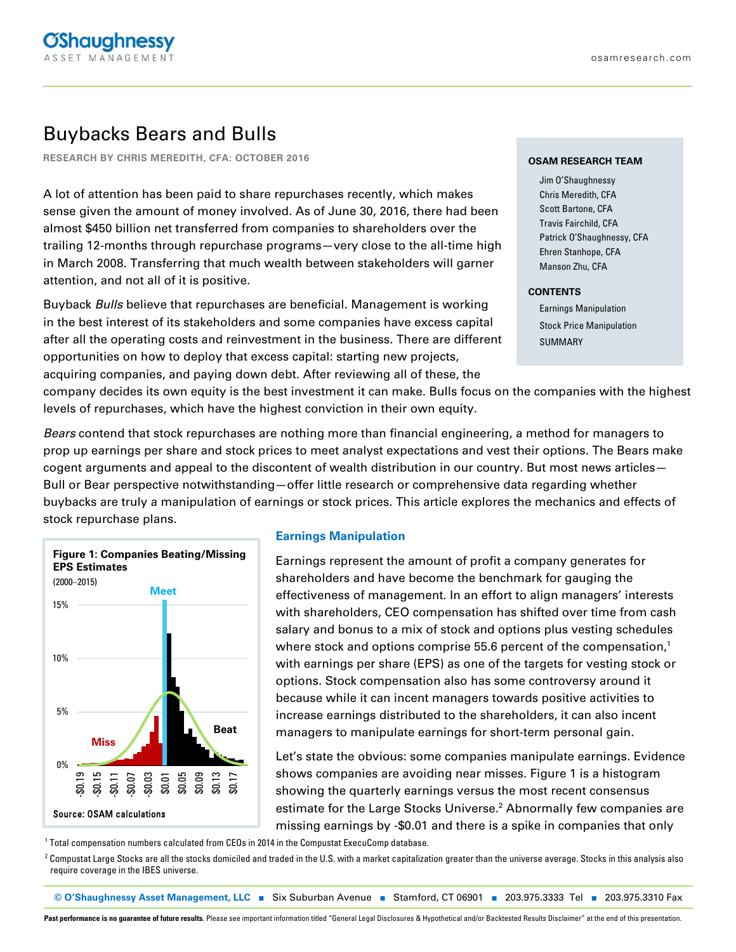# Buybacks Bears and Bulls

**RESEARCH BY CHRIS MEREDITH, CFA: OCTOBER 2016**

A lot of attention has been paid to share repurchases recently, which makes sense given the amount of money involved. As of June 30, 2016, there had been almost \$450 billion net transferred from companies to shareholders over the trailing 12-months through repurchase programs—very close to the all-time high in March 2008. Transferring that much wealth between stakeholders will garner attention, and not all of it is positive.

Buyback Bulls believe that repurchases are beneficial. Management is working in the best interest of its stakeholders and some companies have excess capital after all the operating costs and reinvestment in the business. There are different opportunities on how to deploy that excess capital: starting new projects, acquiring companies, and paying down debt. After reviewing all of these, the

#### **OSAM RESEARCH TEAM**

Jim O'Shaughnessy Chris Meredith, CFA Scott Bartone, CFA Travis Fairchild, CFA Patrick O'Shaughnessy, CFA Ehren Stanhope, CFA Manson Zhu, CFA

#### **CONTENTS**

Earnings Manipulation Stock Price Manipulation SUMMARY

company decides its own equity is the best investment it can make. Bulls focus on the companies with the highest levels of repurchases, which have the highest conviction in their own equity.

Bears contend that stock repurchases are nothing more than financial engineering, a method for managers to prop up earnings per share and stock prices to meet analyst expectations and vest their options. The Bears make cogent arguments and appeal to the discontent of wealth distribution in our country. But most news articles— Bull or Bear perspective notwithstanding—offer little research or comprehensive data regarding whether buybacks are truly a manipulation of earnings or stock prices. This article explores the mechanics and effects of stock repurchase plans.



### **Earnings Manipulation**

Earnings represent the amount of profit a company generates for shareholders and have become the benchmark for gauging the effectiveness of management. In an effort to align managers' interests with shareholders, CEO compensation has shifted over time from cash salary and bonus to a mix of stock and options plus vesting schedules where stock and options comprise 55.6 percent of the compensation,<sup>1</sup> with earnings per share (EPS) as one of the targets for vesting stock or options. Stock compensation also has some controversy around it because while it can incent managers towards positive activities to increase earnings distributed to the shareholders, it can also incent managers to manipulate earnings for short-term personal gain.

Let's state the obvious: some companies manipulate earnings. Evidence shows companies are avoiding near misses. Figure 1 is a histogram showing the quarterly earnings versus the most recent consensus estimate for the Large Stocks Universe.<sup>2</sup> Abnormally few companies are missing earnings by -\$0.01 and there is a spike in companies that only

1 Total compensation numbers calculated from CEOs in 2014 in the Compustat ExecuComp database.

<sup>2</sup> Compustat Large Stocks are all the stocks domiciled and traded in the U.S. with a market capitalization greater than the universe average. Stocks in this analysis also require coverage in the IBES universe. in the United States, with a market capitalization greater than the universe average. Stocks in this analysis also require coverage in the IBES universe.

**© O'Shaughnessy Asset Management, LLC** ■ Six Suburban Avenue ■ Stamford, CT 06901 ■ 203.975.3333 Tel ■ 203.975.3310 Fax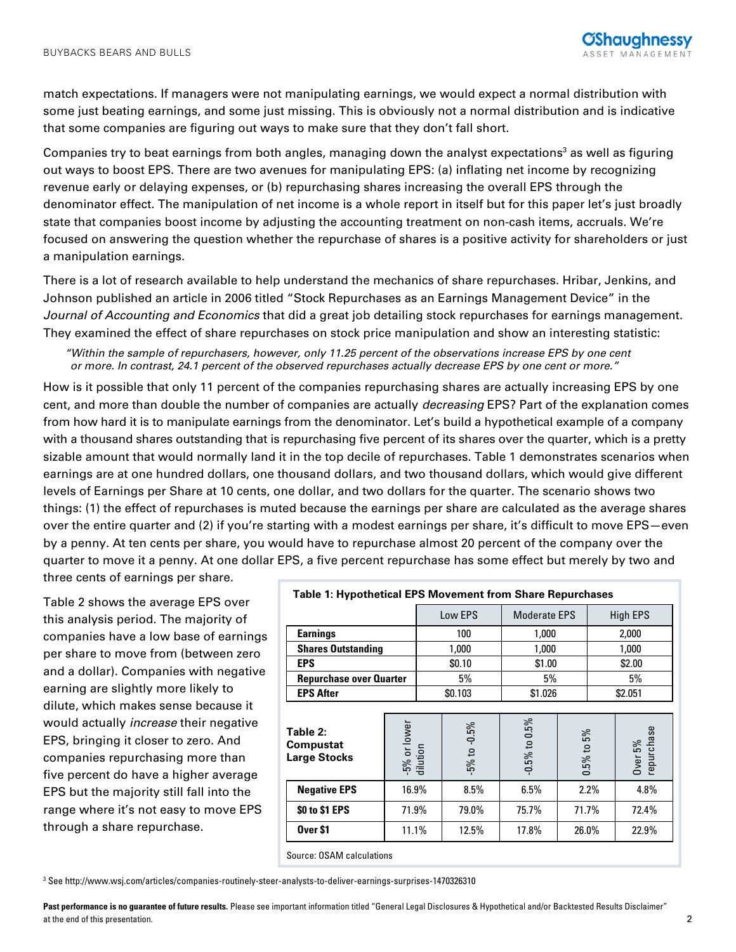match expectations. If managers were not manipulating earnings, we would expect a normal distribution with some just beating earnings, and some just missing. This is obviously not a normal distribution and is indicative that some companies are figuring out ways to make sure that they don't fall short.

Companies try to beat earnings from both angles, managing down the analyst expectations<sup>3</sup> as well as figuring out ways to boost EPS. There are two avenues for manipulating EPS: (a) inflating net income by recognizing revenue early or delaying expenses, or (b) repurchasing shares increasing the overall EPS through the denominator effect. The manipulation of net income is a whole report in itself but for this paper let's just broadly state that companies boost income by adjusting the accounting treatment on non-cash items, accruals. We're focused on answering the question whether the repurchase of shares is a positive activity for shareholders or just a manipulation earnings.

There is a lot of research available to help understand the mechanics of share repurchases. Hribar, Jenkins, and Johnson published an article in 2006 titled "Stock Repurchases as an Earnings Management Device" in the Journal of Accounting and Economics that did a great job detailing stock repurchases for earnings management. They examined the effect of share repurchases on stock price manipulation and show an interesting statistic:

"Within the sample of repurchasers, however, only 11.25 percent of the observations increase EPS by one cent or more. In contrast, 24.1 percent of the observed repurchases actually decrease EPS by one cent or more."

How is it possible that only 11 percent of the companies repurchasing shares are actually increasing EPS by one cent, and more than double the number of companies are actually *decreasing* EPS? Part of the explanation comes from how hard it is to manipulate earnings from the denominator. Let's build a hypothetical example of a company with a thousand shares outstanding that is repurchasing five percent of its shares over the quarter, which is a pretty sizable amount that would normally land it in the top decile of repurchases. Table 1 demonstrates scenarios when earnings are at one hundred dollars, one thousand dollars, and two thousand dollars, which would give different levels of Earnings per Share at 10 cents, one dollar, and two dollars for the quarter. The scenario shows two things: (1) the effect of repurchases is muted because the earnings per share are calculated as the average shares over the entire quarter and (2) if you're starting with a modest earnings per share, it's difficult to move EPS—even by a penny. At ten cents per share, you would have to repurchase almost 20 percent of the company over the quarter to move it a penny. At one dollar EPS, a five percent repurchase has some effect but merely by two and three cents of earnings per share.

Table 2 shows the average EPS over this analysis period. The majority of companies have a low base of earnings per share to move from (between zero and a dollar). Companies with negative earning are slightly more likely to dilute, which makes sense because it would actually increase their negative EPS, bringing it closer to zero. And companies repurchasing more than five percent do have a higher average EPS but the majority still fall into the range where it's not easy to move EPS through a share repurchase.

| <b>Table 1: Hypothetical EPS Movement from Share Repurchases</b> |                          |         |                           |                     |                  |                 |                       |  |
|------------------------------------------------------------------|--------------------------|---------|---------------------------|---------------------|------------------|-----------------|-----------------------|--|
|                                                                  |                          | Low EPS |                           | <b>Moderate EPS</b> |                  | <b>High EPS</b> |                       |  |
| <b>Earnings</b>                                                  |                          | 100     |                           | 1,000               |                  | 2,000           |                       |  |
| <b>Shares Outstanding</b>                                        |                          | 1,000   |                           | 1,000               |                  | 1,000           |                       |  |
| <b>EPS</b>                                                       |                          | \$0.10  |                           | \$1.00              |                  | \$2.00          |                       |  |
| <b>Repurchase over Quarter</b>                                   |                          | 5%      |                           | 5%                  |                  | 5%              |                       |  |
| <b>EPS After</b>                                                 |                          |         | \$0.103                   | \$1.026             |                  | \$2.051         |                       |  |
| Table 2:<br><b>Compustat</b><br><b>Large Stocks</b>              | -5% or lower<br>dilution |         | $-0.5%$<br>$-5%$ to $-5%$ | $-0.5\%$ to $0.5\%$ | 5%<br>$0.5\%$ to |                 | Over 5%<br>repurchase |  |
| <b>Negative EPS</b>                                              | 16.9%                    |         | 8.5%                      | 6.5%                | 2.2%             |                 | 4.8%                  |  |
| \$0 to \$1 EPS                                                   | 71.9%                    |         | 79.0%                     | 75.7%               | 71.7%            |                 | 72.4%                 |  |
| Over <sub>\$1</sub>                                              | 11.1%                    |         | 12.5%                     | 17.8%               | 26.0%            |                 | 22.9%                 |  |
| Source: OSAM calculations                                        |                          |         |                           |                     |                  |                 |                       |  |

3 See http://www.wsj.com/articles/companies-routinely-steer-analysts-to-deliver-earnings-surprises-1470326310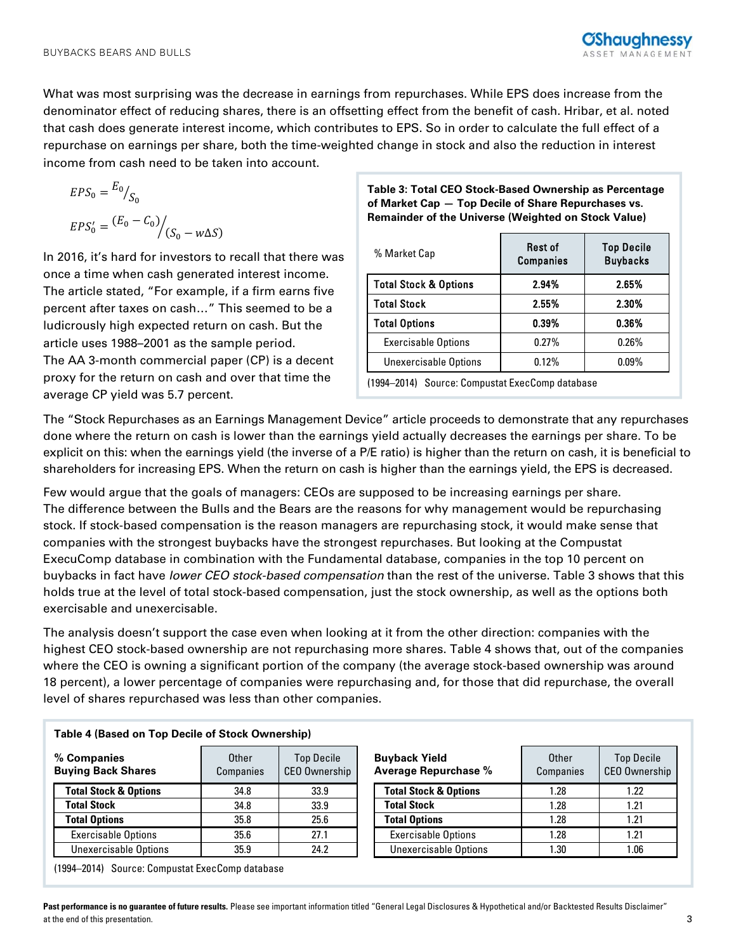What was most surprising was the decrease in earnings from repurchases. While EPS does increase from the denominator effect of reducing shares, there is an offsetting effect from the benefit of cash. Hribar, et al. noted that cash does generate interest income, which contributes to EPS. So in order to calculate the full effect of a repurchase on earnings per share, both the time-weighted change in stock and also the reduction in interest income from cash need to be taken into account.

$$
EPS_0 = \frac{E_0}{S_0}
$$

$$
EPS'_0 = \frac{(E_0 - C_0)}{(S_0 - w\Delta S)}
$$

In 2016, it's hard for investors to recall that there was once a time when cash generated interest income. The article stated, "For example, if a firm earns five percent after taxes on cash…" This seemed to be a ludicrously high expected return on cash. But the article uses 1988–2001 as the sample period. The AA 3-month commercial paper (CP) is a decent proxy for the return on cash and over that time the average CP yield was 5.7 percent.

# **Table 3: Total CEO Stock-Based Ownership as Percentage of Market Cap — Top Decile of Share Repurchases vs. Remainder of the Universe (Weighted on Stock Value)**

| % Market Cap                     | Rest of<br><b>Companies</b> | <b>Top Decile</b><br><b>Buybacks</b> |  |  |  |
|----------------------------------|-----------------------------|--------------------------------------|--|--|--|
| <b>Total Stock &amp; Options</b> | 2.94%                       | 2.65%                                |  |  |  |
| <b>Total Stock</b>               | 2.55%                       | 2.30%                                |  |  |  |
| <b>Total Options</b>             | 0.39%                       | 0.36%                                |  |  |  |
| <b>Exercisable Options</b>       | 0.27%                       | 0.26%                                |  |  |  |
| <b>Unexercisable Options</b>     | 0.12%                       | $0.09\%$                             |  |  |  |
|                                  |                             |                                      |  |  |  |

(1994–2014) Source: Compustat ExecComp database

The "Stock Repurchases as an Earnings Management Device" article proceeds to demonstrate that any repurchases done where the return on cash is lower than the earnings yield actually decreases the earnings per share. To be explicit on this: when the earnings yield (the inverse of a P/E ratio) is higher than the return on cash, it is beneficial to shareholders for increasing EPS. When the return on cash is higher than the earnings yield, the EPS is decreased.

Few would argue that the goals of managers: CEOs are supposed to be increasing earnings per share. The difference between the Bulls and the Bears are the reasons for why management would be repurchasing stock. If stock-based compensation is the reason managers are repurchasing stock, it would make sense that companies with the strongest buybacks have the strongest repurchases. But looking at the Compustat ExecuComp database in combination with the Fundamental database, companies in the top 10 percent on buybacks in fact have lower CEO stock-based compensation than the rest of the universe. Table 3 shows that this holds true at the level of total stock-based compensation, just the stock ownership, as well as the options both exercisable and unexercisable.

The analysis doesn't support the case even when looking at it from the other direction: companies with the highest CEO stock-based ownership are not repurchasing more shares. Table 4 shows that, out of the companies where the CEO is owning a significant portion of the company (the average stock-based ownership was around 18 percent), a lower percentage of companies were repurchasing and, for those that did repurchase, the overall level of shares repurchased was less than other companies.

| Table 4 (based on Top Decile of Stock Ownership) |                    |                                    |                                                     |      |                          |
|--------------------------------------------------|--------------------|------------------------------------|-----------------------------------------------------|------|--------------------------|
| % Companies<br><b>Buying Back Shares</b>         | Other<br>Companies | <b>Top Decile</b><br>CEO Ownership | <b>Buyback Yield</b><br><b>Average Repurchase %</b> |      | <b>Top De</b><br>CEO Own |
| <b>Total Stock &amp; Options</b>                 | 34.8               | 33.9                               | <b>Total Stock &amp; Options</b>                    | 1.28 | 1.22                     |
| <b>Total Stock</b>                               | 34.8               | 33.9                               | <b>Total Stock</b>                                  | 1.28 | 1.21                     |
| <b>Total Options</b>                             | 35.8               | 25.6                               | <b>Total Options</b>                                | 1.28 | 1.21                     |
| <b>Exercisable Options</b>                       | 35.6               | 27.1                               | <b>Exercisable Options</b>                          | 1.28 | 1.21                     |
| <b>Unexercisable Options</b>                     | 35.9               | 24.2                               | Unexercisable Options                               | 1.30 | 1.06                     |

**Table 4 (Based on Top Decile of Stock Ownership)** 

| <b>Buyback Yield</b><br><b>Average Repurchase %</b> | Other<br>Companies | <b>Top Decile</b><br><b>CEO Ownership</b> |  |
|-----------------------------------------------------|--------------------|-------------------------------------------|--|
| <b>Total Stock &amp; Options</b>                    | 1.28               | 1.22                                      |  |
| <b>Total Stock</b>                                  | 1.28               | 1.21                                      |  |
| <b>Total Options</b>                                | 1.28               | 1.21                                      |  |
| <b>Exercisable Options</b>                          | 1.28               | 1.21                                      |  |
| <b>Unexercisable Options</b>                        | 1.30               | 1.06                                      |  |

(1994–2014) Source: Compustat ExecComp database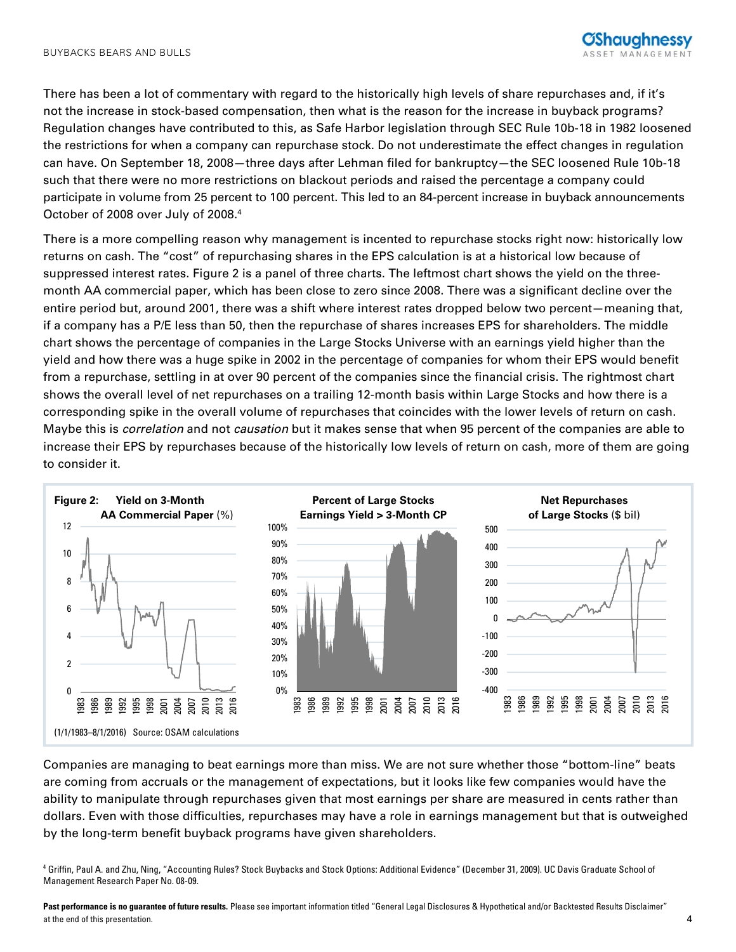There has been a lot of commentary with regard to the historically high levels of share repurchases and, if it's not the increase in stock-based compensation, then what is the reason for the increase in buyback programs? Regulation changes have contributed to this, as Safe Harbor legislation through SEC Rule 10b-18 in 1982 loosened the restrictions for when a company can repurchase stock. Do not underestimate the effect changes in regulation can have. On September 18, 2008—three days after Lehman filed for bankruptcy—the SEC loosened Rule 10b-18 such that there were no more restrictions on blackout periods and raised the percentage a company could participate in volume from 25 percent to 100 percent. This led to an 84-percent increase in buyback announcements October of 2008 over July of 2008.<sup>4</sup>

There is a more compelling reason why management is incented to repurchase stocks right now: historically low returns on cash. The "cost" of repurchasing shares in the EPS calculation is at a historical low because of suppressed interest rates. Figure 2 is a panel of three charts. The leftmost chart shows the yield on the threemonth AA commercial paper, which has been close to zero since 2008. There was a significant decline over the entire period but, around 2001, there was a shift where interest rates dropped below two percent—meaning that, if a company has a P/E less than 50, then the repurchase of shares increases EPS for shareholders. The middle chart shows the percentage of companies in the Large Stocks Universe with an earnings yield higher than the yield and how there was a huge spike in 2002 in the percentage of companies for whom their EPS would benefit from a repurchase, settling in at over 90 percent of the companies since the financial crisis. The rightmost chart shows the overall level of net repurchases on a trailing 12-month basis within Large Stocks and how there is a corresponding spike in the overall volume of repurchases that coincides with the lower levels of return on cash. Maybe this is *correlation* and not *causation* but it makes sense that when 95 percent of the companies are able to increase their EPS by repurchases because of the historically low levels of return on cash, more of them are going to consider it.



Companies are managing to beat earnings more than miss. We are not sure whether those "bottom-line" beats are coming from accruals or the management of expectations, but it looks like few companies would have the ability to manipulate through repurchases given that most earnings per share are measured in cents rather than dollars. Even with those difficulties, repurchases may have a role in earnings management but that is outweighed by the long-term benefit buyback programs have given shareholders.

4 Griffin, Paul A. and Zhu, Ning, "Accounting Rules? Stock Buybacks and Stock Options: Additional Evidence" (December 31, 2009). UC Davis Graduate School of Management Research Paper No. 08-09.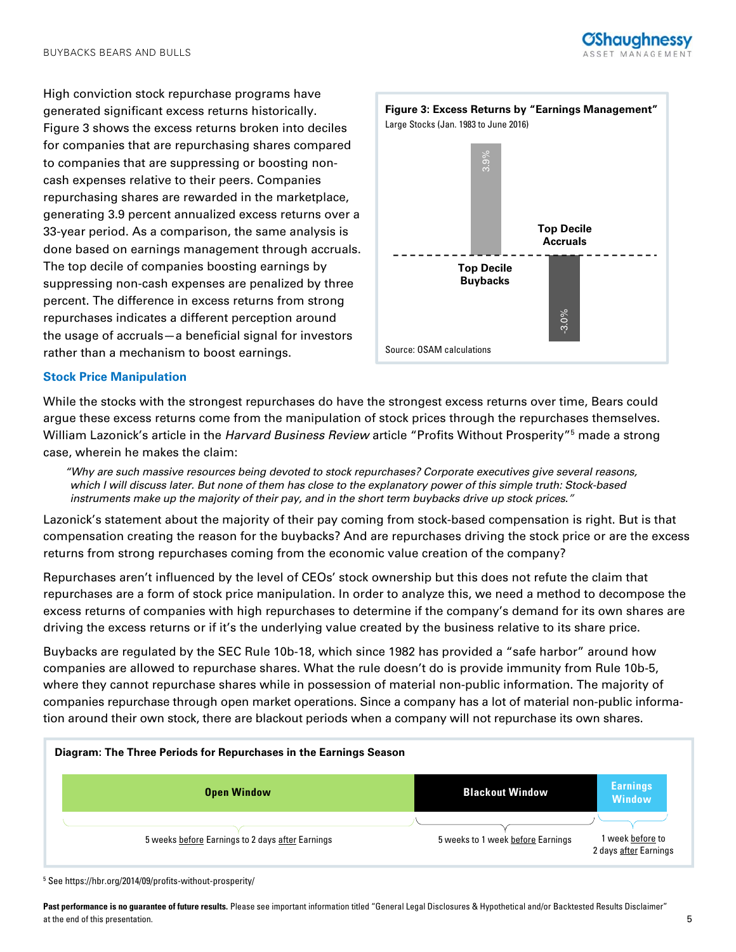

High conviction stock repurchase programs have generated significant excess returns historically. Figure 3 shows the excess returns broken into deciles for companies that are repurchasing shares compared to companies that are suppressing or boosting noncash expenses relative to their peers. Companies repurchasing shares are rewarded in the marketplace, generating 3.9 percent annualized excess returns over a 33-year period. As a comparison, the same analysis is done based on earnings management through accruals. The top decile of companies boosting earnings by suppressing non-cash expenses are penalized by three percent. The difference in excess returns from strong repurchases indicates a different perception around the usage of accruals—a beneficial signal for investors rather than a mechanism to boost earnings.



## **Stock Price Manipulation**

While the stocks with the strongest repurchases do have the strongest excess returns over time, Bears could argue these excess returns come from the manipulation of stock prices through the repurchases themselves. William Lazonick's article in the *Harvard Business Review* article "Profits Without Prosperity"<sup>5</sup> made a strong case, wherein he makes the claim:

"Why are such massive resources being devoted to stock repurchases? Corporate executives give several reasons, which I will discuss later. But none of them has close to the explanatory power of this simple truth: Stock-based instruments make up the majority of their pay, and in the short term buybacks drive up stock prices."

Lazonick's statement about the majority of their pay coming from stock-based compensation is right. But is that compensation creating the reason for the buybacks? And are repurchases driving the stock price or are the excess returns from strong repurchases coming from the economic value creation of the company?

Repurchases aren't influenced by the level of CEOs' stock ownership but this does not refute the claim that repurchases are a form of stock price manipulation. In order to analyze this, we need a method to decompose the excess returns of companies with high repurchases to determine if the company's demand for its own shares are driving the excess returns or if it's the underlying value created by the business relative to its share price.

Buybacks are regulated by the SEC Rule 10b-18, which since 1982 has provided a "safe harbor" around how companies are allowed to repurchase shares. What the rule doesn't do is provide immunity from Rule 10b-5, where they cannot repurchase shares while in possession of material non-public information. The majority of companies repurchase through open market operations. Since a company has a lot of material non-public information around their own stock, there are blackout periods when a company will not repurchase its own shares.



<sup>5</sup> See https://hbr.org/2014/09/profits-without-prosperity/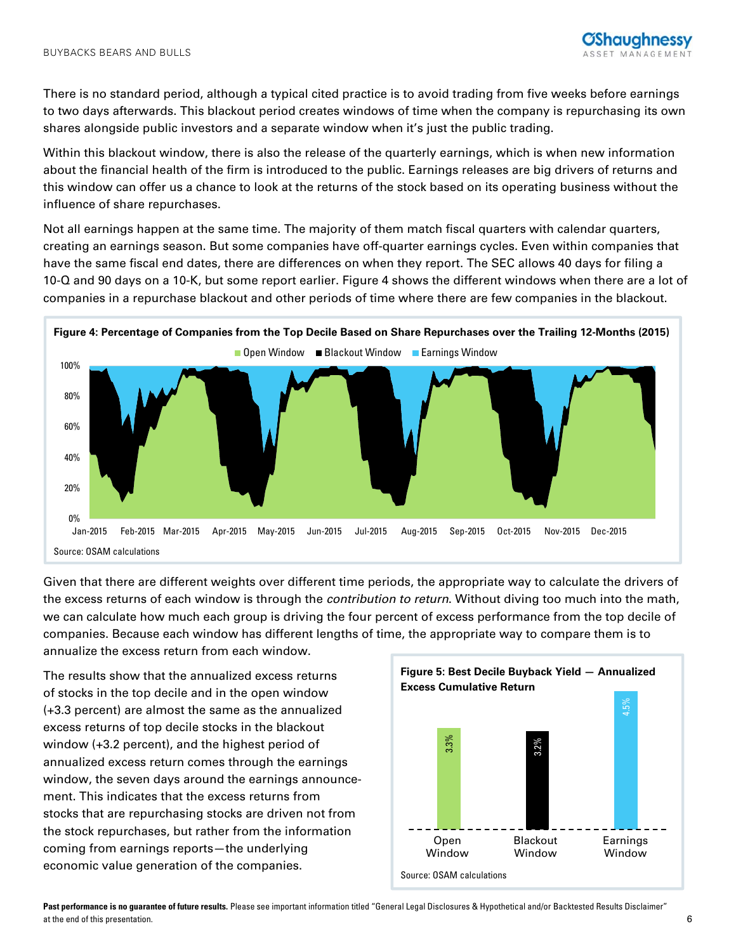There is no standard period, although a typical cited practice is to avoid trading from five weeks before earnings to two days afterwards. This blackout period creates windows of time when the company is repurchasing its own shares alongside public investors and a separate window when it's just the public trading.

Within this blackout window, there is also the release of the quarterly earnings, which is when new information about the financial health of the firm is introduced to the public. Earnings releases are big drivers of returns and this window can offer us a chance to look at the returns of the stock based on its operating business without the influence of share repurchases.

Not all earnings happen at the same time. The majority of them match fiscal quarters with calendar quarters, creating an earnings season. But some companies have off-quarter earnings cycles. Even within companies that have the same fiscal end dates, there are differences on when they report. The SEC allows 40 days for filing a 10-Q and 90 days on a 10-K, but some report earlier. Figure 4 shows the different windows when there are a lot of companies in a repurchase blackout and other periods of time where there are few companies in the blackout.



Given that there are different weights over different time periods, the appropriate way to calculate the drivers of the excess returns of each window is through the *contribution to return*. Without diving too much into the math, we can calculate how much each group is driving the four percent of excess performance from the top decile of companies. Because each window has different lengths of time, the appropriate way to compare them is to annualize the excess return from each window.

The results show that the annualized excess returns of stocks in the top decile and in the open window (+3.3 percent) are almost the same as the annualized excess returns of top decile stocks in the blackout window (+3.2 percent), and the highest period of annualized excess return comes through the earnings window, the seven days around the earnings announcement. This indicates that the excess returns from stocks that are repurchasing stocks are driven not from the stock repurchases, but rather from the information coming from earnings reports—the underlying economic value generation of the companies.